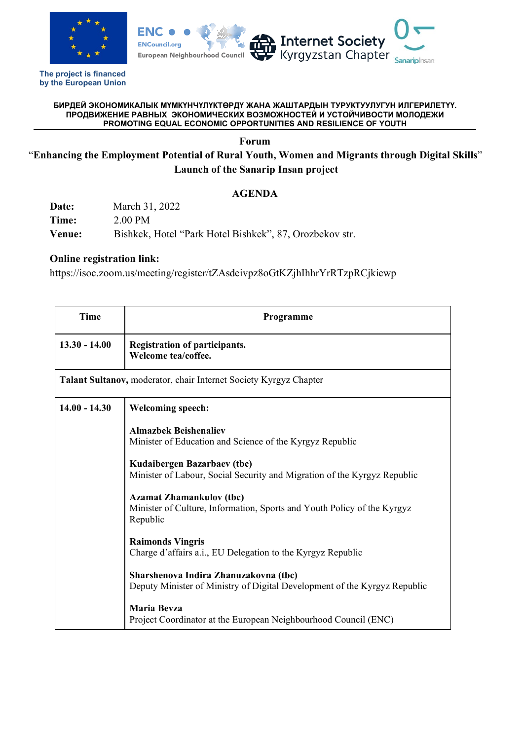

**The project is financed by the European Union**



## **БИРДЕЙ ЭКОНОМИКАЛЫК МҮМКҮНЧҮЛҮКТӨРДҮ ЖАНА ЖАШТАРДЫН ТУРУКТУУЛУГУН ИЛГЕРИЛЕТҮҮ. ПРОДВИЖЕНИЕ РАВНЫХ ЭКОНОМИЧЕСКИХ ВОЗМОЖНОСТЕЙ И УСТОЙЧИВОСТИ МОЛОДЕЖИ PROMOTING EQUAL ECONOMIC OPPORTUNITIES AND RESILIENCE OF YOUTH**

**Forum** 

## "**Enhancing the Employment Potential of Rural Youth, Women and Migrants through Digital Skills**" **Launch of the Sanarip Insan project**

## **AGENDA**

**Date:** March 31, 2022 **Time:** 2.00 PM **Venue:** Bishkek, Hotel "Park Hotel Bishkek", 87, Orozbekov str.

## **Online registration link:**

https://isoc.zoom.us/meeting/register/tZAsdeivpz8oGtKZjhIhhrYrRTzpRCjkiewp

| Time                                                              | Programme                                                                                                              |  |
|-------------------------------------------------------------------|------------------------------------------------------------------------------------------------------------------------|--|
| $13.30 - 14.00$                                                   | Registration of participants.<br>Welcome tea/coffee.                                                                   |  |
| Talant Sultanov, moderator, chair Internet Society Kyrgyz Chapter |                                                                                                                        |  |
| $14.00 - 14.30$                                                   | <b>Welcoming speech:</b>                                                                                               |  |
|                                                                   | <b>Almazbek Beishenaliev</b><br>Minister of Education and Science of the Kyrgyz Republic                               |  |
|                                                                   | Kudaibergen Bazarbaev (tbc)<br>Minister of Labour, Social Security and Migration of the Kyrgyz Republic                |  |
|                                                                   | <b>Azamat Zhamankulov</b> (tbc)<br>Minister of Culture, Information, Sports and Youth Policy of the Kyrgyz<br>Republic |  |
|                                                                   | <b>Raimonds Vingris</b><br>Charge d'affairs a.i., EU Delegation to the Kyrgyz Republic                                 |  |
|                                                                   | Sharshenova Indira Zhanuzakovna (tbc)<br>Deputy Minister of Ministry of Digital Development of the Kyrgyz Republic     |  |
|                                                                   | <b>Maria Bevza</b><br>Project Coordinator at the European Neighbourhood Council (ENC)                                  |  |